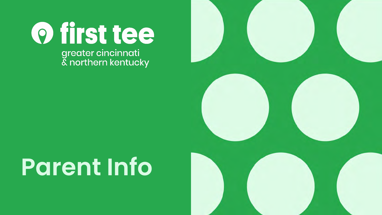O first tee greater cincinnati<br>& northern kentucky



### **Parent Info**

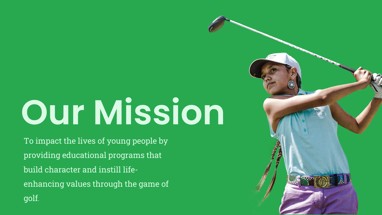## **Our Mission**

To impact the lives of young people by providing educational programs that build character and instill lifeenhancing values through the game of golf.

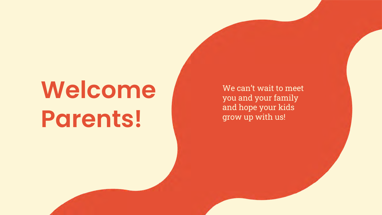## **Welcome Parents!**

We can't wait to meet you and your family and hope your kids grow up with us!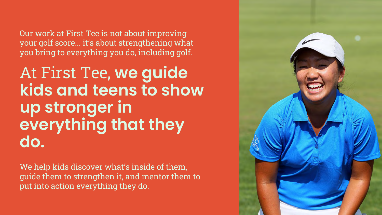Our work at First Tee is not about improving your golf score... it's about strengthening what you bring to everything you do, including golf.

At First Tee, **we guide kids and teens to show up stronger in everything that they do.**

We help kids discover what's inside of them, guide them to strengthen it, and mentor them to put into action everything they do.

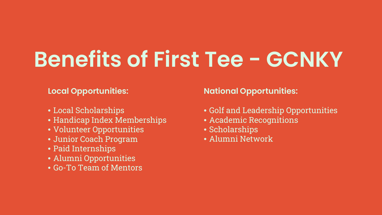**Benefits of First Tee - GCNKY**

#### **Local Opportunities:**

- Local Scholarships
- Handicap Index Memberships
- Volunteer Opportunities
- Junior Coach Program
- Paid Internships
- Alumni Opportunities
- Go-To Team of Mentors

#### **National Opportunities:**

- Golf and Leadership Opportunities
- Academic Recognitions
- Scholarships
- Alumni Network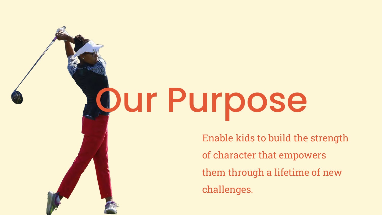# Our Purpose

Enable kids to build the strength of character that empowers them through a lifetime of new challenges.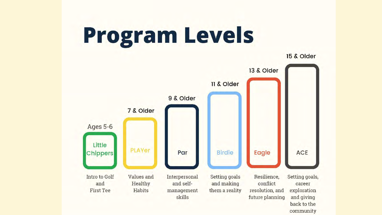### **Program Levels**

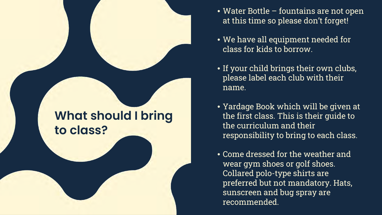#### **What should I bring to class?**

- Water Bottle fountains are not open at this time so please don't forget!
- We have all equipment needed for class for kids to borrow.
- If your child brings their own clubs, please label each club with their name.
- Yardage Book which will be given at the first class. This is their guide to the curriculum and their responsibility to bring to each class.
- Come dressed for the weather and wear gym shoes or golf shoes. Collared polo-type shirts are preferred but not mandatory. Hats, sunscreen and bug spray are recommended.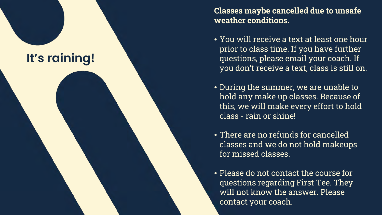

**Classes maybe cancelled due to unsafe weather conditions.** 

- You will receive a text at least one hour prior to class time. If you have further questions, please email your coach. If you don't receive a text, class is still on.
- During the summer, we are unable to hold any make up classes. Because of this, we will make every effort to hold class - rain or shine!
- There are no refunds for cancelled classes and we do not hold makeups for missed classes.
- Please do not contact the course for questions regarding First Tee. They will not know the answer. Please contact your coach.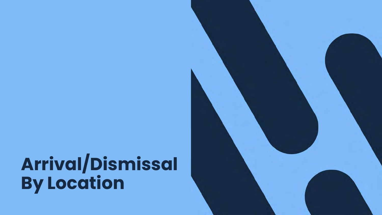### **Arrival/Dismissal By Location**

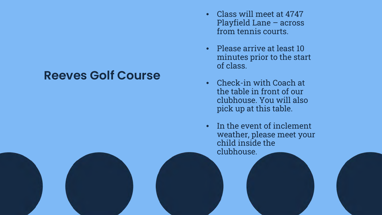#### **Reeves Golf Course**

- Class will meet at 4747 Playfield Lane – across from tennis courts.
- Please arrive at least 10 minutes prior to the start of class.
- Check-in with Coach at the table in front of our clubhouse. You will also pick up at this table.
- In the event of inclement weather, please meet your child inside the clubhouse.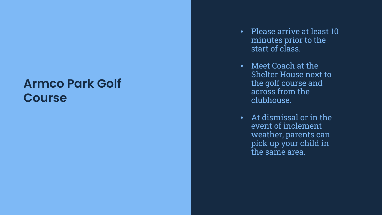#### **Armco Park Golf Course**

- Please arrive at least 10 minutes prior to the start of class.
- Meet Coach at the Shelter House next to the golf course and across from the clubhouse.
- At dismissal or in the event of inclement weather, parents can pick up your child in the same area.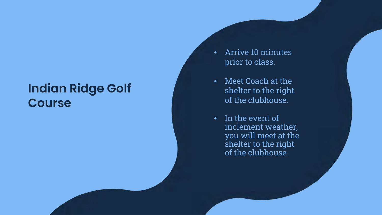#### **Indian Ridge Golf Course**

- Arrive 10 minutes prior to class.
- Meet Coach at the shelter to the right of the clubhouse.
- In the event of inclement weather, you will meet at the shelter to the right of the clubhouse.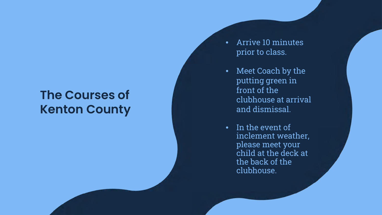#### **The Courses of Kenton County**

- Arrive 10 minutes prior to class.
- Meet Coach by the putting green in front of the clubhouse at arrival and dismissal.
- In the event of inclement weather, please meet your child at the deck at the back of the clubhouse.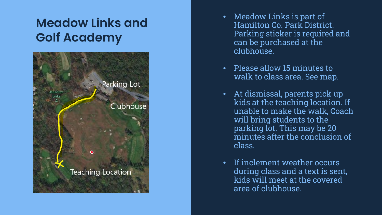### **Meadow Links and Golf Academy**



- Meadow Links is part of Hamilton Co. Park District. Parking sticker is required and can be purchased at the clubhouse.
- Please allow 15 minutes to walk to class area. See map.
- At dismissal, parents pick up kids at the teaching location. If unable to make the walk, Coach will bring students to the parking lot. This may be 20 minutes after the conclusion of class.
- If inclement weather occurs during class and a text is sent, kids will meet at the covered area of clubhouse.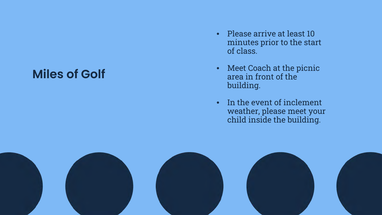#### **Miles of Golf**

- Please arrive at least 10 minutes prior to the start of class.
- Meet Coach at the picnic area in front of the building.
- In the event of inclement weather, please meet your child inside the building.

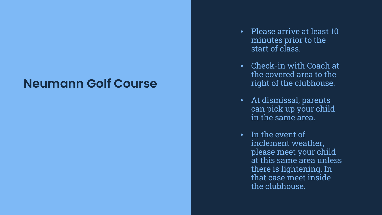#### **Neumann Golf Course**

- Please arrive at least 10 minutes prior to the start of class.
- Check-in with Coach at the covered area to the right of the clubhouse.
- At dismissal, parents can pick up your child in the same area.
- In the event of inclement weather, please meet your child at this same area unless there is lightening. In that case meet inside the clubhouse.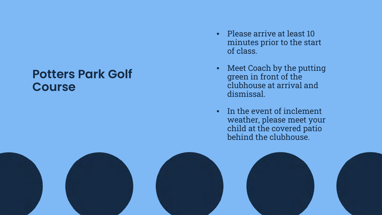#### **Potters Park Golf Course**

- Please arrive at least 10 minutes prior to the start of class.
- Meet Coach by the putting green in front of the clubhouse at arrival and dismissal.
- In the event of inclement weather, please meet your child at the covered patio behind the clubhouse.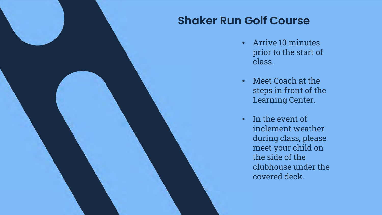#### **Shaker Run Golf Course**

- Arrive 10 minutes prior to the start of class.
- Meet Coach at the steps in front of the Learning Center.
- In the event of inclement weather during class, please meet your child on the side of the clubhouse under the covered deck.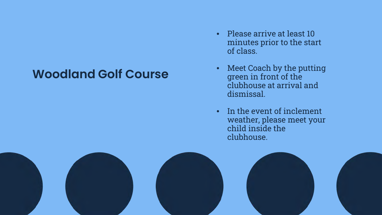#### **Woodland Golf Course**

- Please arrive at least 10 minutes prior to the start of class.
- Meet Coach by the putting green in front of the clubhouse at arrival and dismissal.
- In the event of inclement weather, please meet your child inside the clubhouse.

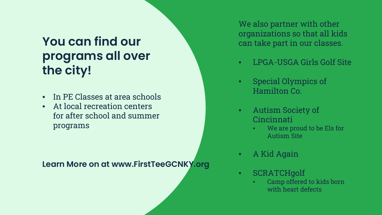### **You can find our programs all over the city!**

- In PE Classes at area schools
- At local recreation centers for after school and summer programs

**Learn More on at www.FirstTeeGCNKY.org**

We also partner with other organizations so that all kids can take part in our classes.

- LPGA-USGA Girls Golf Site
- Special Olympics of Hamilton Co.
- Autism Society of Cincinnati
	- We are proud to be Els for Autism Site
- A Kid Again
- SCRATCHgolf
	- Camp offered to kids born with heart defects